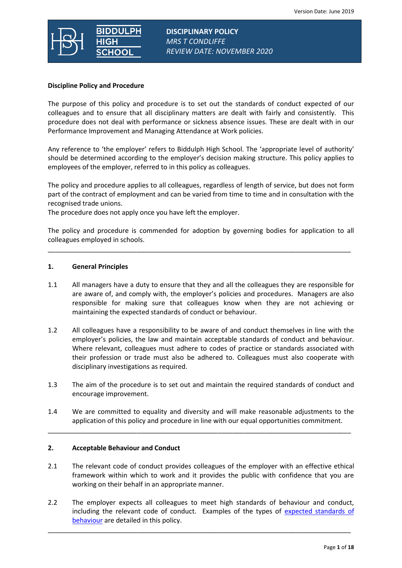

**DISCIPLINARY POLICY** *MRS T CONDLIFFE REVIEW DATE: NOVEMBER 2020*

## **Discipline Policy and Procedure**

The purpose of this policy and procedure is to set out the standards of conduct expected of our colleagues and to ensure that all disciplinary matters are dealt with fairly and consistently. This procedure does not deal with performance or sickness absence issues. These are dealt with in our Performance Improvement and Managing Attendance at Work policies.

Any reference to 'the employer' refers to Biddulph High School. The 'appropriate level of authority' should be determined according to the employer's decision making structure. This policy applies to employees of the employer, referred to in this policy as colleagues.

The policy and procedure applies to all colleagues, regardless of length of service, but does not form part of the contract of employment and can be varied from time to time and in consultation with the recognised trade unions.

The procedure does not apply once you have left the employer.

The policy and procedure is commended for adoption by governing bodies for application to all colleagues employed in schools.

\_\_\_\_\_\_\_\_\_\_\_\_\_\_\_\_\_\_\_\_\_\_\_\_\_\_\_\_\_\_\_\_\_\_\_\_\_\_\_\_\_\_\_\_\_\_\_\_\_\_\_\_\_\_\_\_\_\_\_\_\_\_\_\_\_\_\_\_\_\_\_\_\_\_\_\_\_\_\_\_\_\_

## **1. General Principles**

- 1.1 All managers have a duty to ensure that they and all the colleagues they are responsible for are aware of, and comply with, the employer's policies and procedures. Managers are also responsible for making sure that colleagues know when they are not achieving or maintaining the expected standards of conduct or behaviour.
- 1.2 All colleagues have a responsibility to be aware of and conduct themselves in line with the employer's policies, the law and maintain acceptable standards of conduct and behaviour. Where relevant, colleagues must adhere to codes of practice or standards associated with their profession or trade must also be adhered to. Colleagues must also cooperate with disciplinary investigations as required.
- 1.3 The aim of the procedure is to set out and maintain the required standards of conduct and encourage improvement.
- 1.4 We are committed to equality and diversity and will make reasonable adjustments to the application of this policy and procedure in line with our equal opportunities commitment.

\_\_\_\_\_\_\_\_\_\_\_\_\_\_\_\_\_\_\_\_\_\_\_\_\_\_\_\_\_\_\_\_\_\_\_\_\_\_\_\_\_\_\_\_\_\_\_\_\_\_\_\_\_\_\_\_\_\_\_\_\_\_\_\_\_\_\_\_\_\_\_\_\_\_\_\_\_\_\_\_\_\_

## **2. Acceptable Behaviour and Conduct**

- 2.1 The relevant code of conduct provides colleagues of the employer with an effective ethical framework within which to work and it provides the public with confidence that you are working on their behalf in an appropriate manner.
- 2.2 The employer expects all colleagues to meet high standards of behaviour and conduct, including the relevant code of conduct. Examples of the types of expected standards of [behaviour](#page-5-0) are detailed in this policy.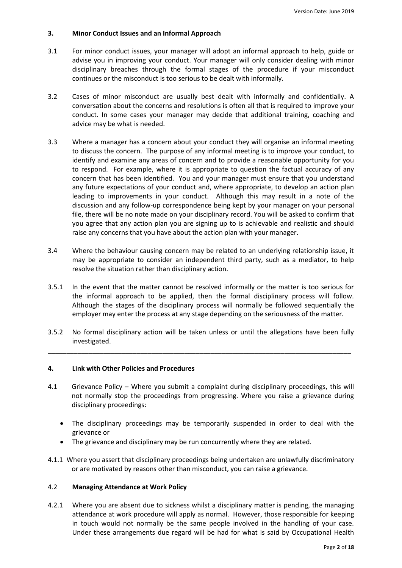## **3. Minor Conduct Issues and an Informal Approach**

- 3.1 For minor conduct issues, your manager will adopt an informal approach to help, guide or advise you in improving your conduct. Your manager will only consider dealing with minor disciplinary breaches through the formal stages of the procedure if your misconduct continues or the misconduct is too serious to be dealt with informally.
- 3.2 Cases of minor misconduct are usually best dealt with informally and confidentially. A conversation about the concerns and resolutions is often all that is required to improve your conduct. In some cases your manager may decide that additional training, coaching and advice may be what is needed.
- 3.3 Where a manager has a concern about your conduct they will organise an informal meeting to discuss the concern. The purpose of any informal meeting is to improve your conduct, to identify and examine any areas of concern and to provide a reasonable opportunity for you to respond. For example, where it is appropriate to question the factual accuracy of any concern that has been identified. You and your manager must ensure that you understand any future expectations of your conduct and, where appropriate, to develop an action plan leading to improvements in your conduct. Although this may result in a note of the discussion and any follow-up correspondence being kept by your manager on your personal file, there will be no note made on your disciplinary record. You will be asked to confirm that you agree that any action plan you are signing up to is achievable and realistic and should raise any concerns that you have about the action plan with your manager.
- 3.4 Where the behaviour causing concern may be related to an underlying relationship issue, it may be appropriate to consider an independent third party, such as a mediator, to help resolve the situation rather than disciplinary action.
- 3.5.1 In the event that the matter cannot be resolved informally or the matter is too serious for the informal approach to be applied, then the formal disciplinary process will follow. Although the stages of the disciplinary process will normally be followed sequentially the employer may enter the process at any stage depending on the seriousness of the matter.
- 3.5.2 No formal disciplinary action will be taken unless or until the allegations have been fully investigated.

\_\_\_\_\_\_\_\_\_\_\_\_\_\_\_\_\_\_\_\_\_\_\_\_\_\_\_\_\_\_\_\_\_\_\_\_\_\_\_\_\_\_\_\_\_\_\_\_\_\_\_\_\_\_\_\_\_\_\_\_\_\_\_\_\_\_\_\_\_\_\_\_\_\_\_\_\_\_\_\_\_\_

## **4. Link with Other Policies and Procedures**

- 4.1 Grievance Policy Where you submit a complaint during disciplinary proceedings, this will not normally stop the proceedings from progressing. Where you raise a grievance during disciplinary proceedings:
	- The disciplinary proceedings may be temporarily suspended in order to deal with the grievance or
	- The grievance and disciplinary may be run concurrently where they are related.
- 4.1.1 Where you assert that disciplinary proceedings being undertaken are unlawfully discriminatory or are motivated by reasons other than misconduct, you can raise a grievance.

## 4.2 **Managing Attendance at Work Policy**

4.2.1 Where you are absent due to sickness whilst a disciplinary matter is pending, the managing attendance at work procedure will apply as normal. However, those responsible for keeping in touch would not normally be the same people involved in the handling of your case. Under these arrangements due regard will be had for what is said by Occupational Health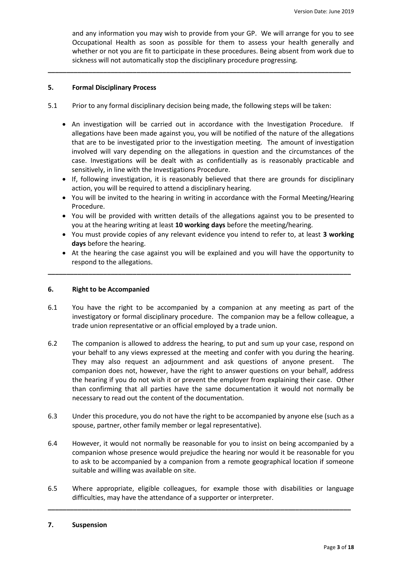and any information you may wish to provide from your GP. We will arrange for you to see Occupational Health as soon as possible for them to assess your health generally and whether or not you are fit to participate in these procedures. Being absent from work due to sickness will not automatically stop the disciplinary procedure progressing.

## **5. Formal Disciplinary Process**

5.1 Prior to any formal disciplinary decision being made, the following steps will be taken:

**\_\_\_\_\_\_\_\_\_\_\_\_\_\_\_\_\_\_\_\_\_\_\_\_\_\_\_\_\_\_\_\_\_\_\_\_\_\_\_\_\_\_\_\_\_\_\_\_\_\_\_\_\_\_\_\_\_\_\_\_\_\_\_\_\_\_\_\_\_\_\_\_\_\_\_\_\_\_\_\_\_\_**

- An investigation will be carried out in accordance with the Investigation Procedure. If allegations have been made against you, you will be notified of the nature of the allegations that are to be investigated prior to the investigation meeting. The amount of investigation involved will vary depending on the allegations in question and the circumstances of the case. Investigations will be dealt with as confidentially as is reasonably practicable and sensitively, in line with the Investigations Procedure.
- If, following investigation, it is reasonably believed that there are grounds for disciplinary action, you will be required to attend a disciplinary hearing.
- You will be invited to the hearing in writing in accordance with the Formal Meeting/Hearing Procedure.
- You will be provided with written details of the allegations against you to be presented to you at the hearing writing at least **10 working days** before the meeting/hearing.
- You must provide copies of any relevant evidence you intend to refer to, at least **3 working days** before the hearing.
- At the hearing the case against you will be explained and you will have the opportunity to respond to the allegations.

## **6. Right to be Accompanied**

6.1 You have the right to be accompanied by a companion at any meeting as part of the investigatory or formal disciplinary procedure. The companion may be a fellow colleague, a trade union representative or an official employed by a trade union.

**\_\_\_\_\_\_\_\_\_\_\_\_\_\_\_\_\_\_\_\_\_\_\_\_\_\_\_\_\_\_\_\_\_\_\_\_\_\_\_\_\_\_\_\_\_\_\_\_\_\_\_\_\_\_\_\_\_\_\_\_\_\_\_\_\_\_\_\_\_\_\_\_\_\_\_\_\_\_\_\_\_\_**

- 6.2 The companion is allowed to address the hearing, to put and sum up your case, respond on your behalf to any views expressed at the meeting and confer with you during the hearing. They may also request an adjournment and ask questions of anyone present. The companion does not, however, have the right to answer questions on your behalf, address the hearing if you do not wish it or prevent the employer from explaining their case. Other than confirming that all parties have the same documentation it would not normally be necessary to read out the content of the documentation.
- 6.3 Under this procedure, you do not have the right to be accompanied by anyone else (such as a spouse, partner, other family member or legal representative).
- 6.4 However, it would not normally be reasonable for you to insist on being accompanied by a companion whose presence would prejudice the hearing nor would it be reasonable for you to ask to be accompanied by a companion from a remote geographical location if someone suitable and willing was available on site.
- 6.5 Where appropriate, eligible colleagues, for example those with disabilities or language difficulties, may have the attendance of a supporter or interpreter.

**\_\_\_\_\_\_\_\_\_\_\_\_\_\_\_\_\_\_\_\_\_\_\_\_\_\_\_\_\_\_\_\_\_\_\_\_\_\_\_\_\_\_\_\_\_\_\_\_\_\_\_\_\_\_\_\_\_\_\_\_\_\_\_\_\_\_\_\_\_\_\_\_\_\_\_\_\_\_\_\_\_\_**

#### **7. Suspension**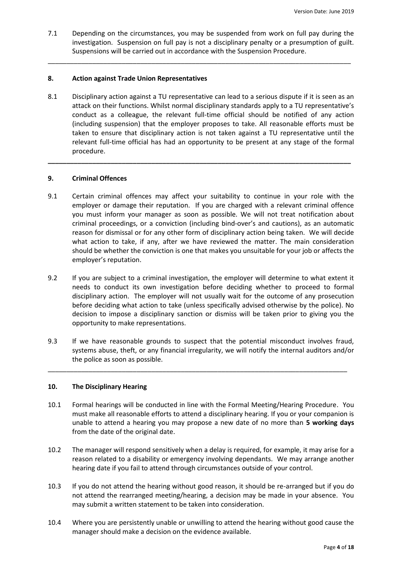7.1 Depending on the circumstances, you may be suspended from work on full pay during the investigation. Suspension on full pay is not a disciplinary penalty or a presumption of guilt. Suspensions will be carried out in accordance with the Suspension Procedure.

\_\_\_\_\_\_\_\_\_\_\_\_\_\_\_\_\_\_\_\_\_\_\_\_\_\_\_\_\_\_\_\_\_\_\_\_\_\_\_\_\_\_\_\_\_\_\_\_\_\_\_\_\_\_\_\_\_\_\_\_\_\_\_\_\_\_\_\_\_\_\_\_\_\_\_\_\_\_\_\_\_\_

## **8. Action against Trade Union Representatives**

8.1 Disciplinary action against a TU representative can lead to a serious dispute if it is seen as an attack on their functions. Whilst normal disciplinary standards apply to a TU representative's conduct as a colleague, the relevant full-time official should be notified of any action (including suspension) that the employer proposes to take. All reasonable efforts must be taken to ensure that disciplinary action is not taken against a TU representative until the relevant full-time official has had an opportunity to be present at any stage of the formal procedure.

**\_\_\_\_\_\_\_\_\_\_\_\_\_\_\_\_\_\_\_\_\_\_\_\_\_\_\_\_\_\_\_\_\_\_\_\_\_\_\_\_\_\_\_\_\_\_\_\_\_\_\_\_\_\_\_\_\_\_\_\_\_\_\_\_\_\_\_\_\_\_\_\_\_\_\_\_\_\_\_\_\_\_**

## **9. Criminal Offences**

- 9.1 Certain criminal offences may affect your suitability to continue in your role with the employer or damage their reputation. If you are charged with a relevant criminal offence you must inform your manager as soon as possible. We will not treat notification about criminal proceedings, or a conviction (including bind-over's and cautions), as an automatic reason for dismissal or for any other form of disciplinary action being taken. We will decide what action to take, if any, after we have reviewed the matter. The main consideration should be whether the conviction is one that makes you unsuitable for your job or affects the employer's reputation.
- 9.2 If you are subject to a criminal investigation, the employer will determine to what extent it needs to conduct its own investigation before deciding whether to proceed to formal disciplinary action. The employer will not usually wait for the outcome of any prosecution before deciding what action to take (unless specifically advised otherwise by the police). No decision to impose a disciplinary sanction or dismiss will be taken prior to giving you the opportunity to make representations.
- 9.3 If we have reasonable grounds to suspect that the potential misconduct involves fraud, systems abuse, theft, or any financial irregularity, we will notify the internal auditors and/or the police as soon as possible.

\_\_\_\_\_\_\_\_\_\_\_\_\_\_\_\_\_\_\_\_\_\_\_\_\_\_\_\_\_\_\_\_\_\_\_\_\_\_\_\_\_\_\_\_\_\_\_\_\_\_\_\_\_\_\_\_\_\_\_\_\_\_\_\_\_\_\_\_\_\_\_\_\_\_\_\_\_\_\_\_\_

## **10. The Disciplinary Hearing**

- 10.1 Formal hearings will be conducted in line with the Formal Meeting/Hearing Procedure. You must make all reasonable efforts to attend a disciplinary hearing. If you or your companion is unable to attend a hearing you may propose a new date of no more than **5 working days** from the date of the original date.
- 10.2 The manager will respond sensitively when a delay is required, for example, it may arise for a reason related to a disability or emergency involving dependants. We may arrange another hearing date if you fail to attend through circumstances outside of your control.
- 10.3 If you do not attend the hearing without good reason, it should be re-arranged but if you do not attend the rearranged meeting/hearing, a decision may be made in your absence. You may submit a written statement to be taken into consideration.
- 10.4 Where you are persistently unable or unwilling to attend the hearing without good cause the manager should make a decision on the evidence available.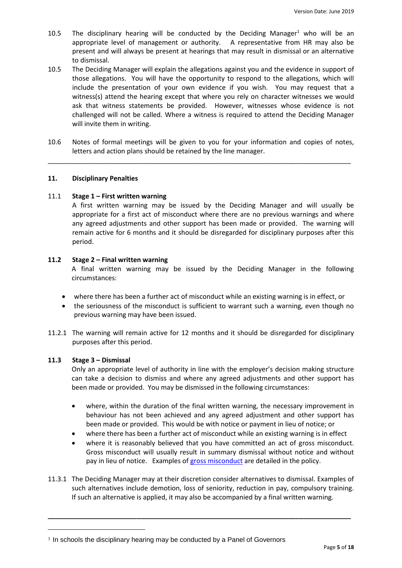- 10.5 The disciplinary hearing will be conducted by the Deciding Manager<sup>1</sup> who will be an appropriate level of management or authority. A representative from HR may also be present and will always be present at hearings that may result in dismissal or an alternative to dismissal.
- 10.5 The Deciding Manager will explain the allegations against you and the evidence in support of those allegations. You will have the opportunity to respond to the allegations, which will include the presentation of your own evidence if you wish. You may request that a witness(s) attend the hearing except that where you rely on character witnesses we would ask that witness statements be provided. However, witnesses whose evidence is not challenged will not be called. Where a witness is required to attend the Deciding Manager will invite them in writing.
- 10.6 Notes of formal meetings will be given to you for your information and copies of notes, letters and action plans should be retained by the line manager.

\_\_\_\_\_\_\_\_\_\_\_\_\_\_\_\_\_\_\_\_\_\_\_\_\_\_\_\_\_\_\_\_\_\_\_\_\_\_\_\_\_\_\_\_\_\_\_\_\_\_\_\_\_\_\_\_\_\_\_\_\_\_\_\_\_\_\_\_\_\_\_\_\_\_\_\_\_\_\_\_\_\_

## **11. Disciplinary Penalties**

## 11.1 **Stage 1 – First written warning**

A first written warning may be issued by the Deciding Manager and will usually be appropriate for a first act of misconduct where there are no previous warnings and where any agreed adjustments and other support has been made or provided. The warning will remain active for 6 months and it should be disregarded for disciplinary purposes after this period.

## **11.2 Stage 2 – Final written warning**

A final written warning may be issued by the Deciding Manager in the following circumstances:

- where there has been a further act of misconduct while an existing warning is in effect, or
- the seriousness of the misconduct is sufficient to warrant such a warning, even though no previous warning may have been issued.
- 11.2.1 The warning will remain active for 12 months and it should be disregarded for disciplinary purposes after this period.

# **11.3 Stage 3 – Dismissal**

 $\overline{a}$ 

Only an appropriate level of authority in line with the employer's decision making structure can take a decision to dismiss and where any agreed adjustments and other support has been made or provided. You may be dismissed in the following circumstances:

- where, within the duration of the final written warning, the necessary improvement in behaviour has not been achieved and any agreed adjustment and other support has been made or provided. This would be with notice or payment in lieu of notice; or
- where there has been a further act of misconduct while an existing warning is in effect
- where it is reasonably believed that you have committed an act of gross misconduct. Gross misconduct will usually result in summary dismissal without notice and without pay in lieu of notice. Examples of [gross misconduct](#page-5-0) are detailed in the policy.
- 11.3.1 The Deciding Manager may at their discretion consider alternatives to dismissal. Examples of such alternatives include demotion, loss of seniority, reduction in pay, compulsory training. If such an alternative is applied, it may also be accompanied by a final written warning.

<sup>&</sup>lt;sup>1</sup> In schools the disciplinary hearing may be conducted by a Panel of Governors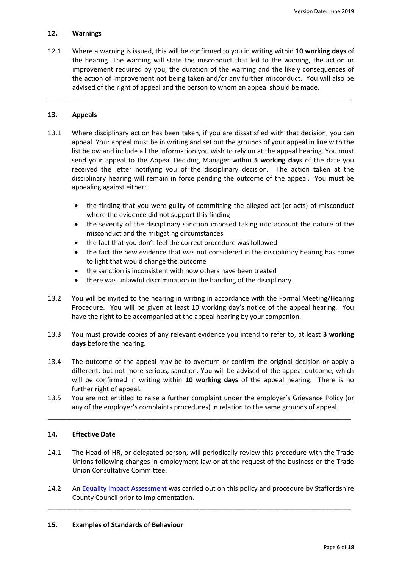# **12. Warnings**

12.1 Where a warning is issued, this will be confirmed to you in writing within **10 working days** of the hearing. The warning will state the misconduct that led to the warning, the action or improvement required by you, the duration of the warning and the likely consequences of the action of improvement not being taken and/or any further misconduct. You will also be advised of the right of appeal and the person to whom an appeal should be made.

\_\_\_\_\_\_\_\_\_\_\_\_\_\_\_\_\_\_\_\_\_\_\_\_\_\_\_\_\_\_\_\_\_\_\_\_\_\_\_\_\_\_\_\_\_\_\_\_\_\_\_\_\_\_\_\_\_\_\_\_\_\_\_\_\_\_\_\_\_\_\_\_\_\_\_\_\_\_\_\_\_\_

## **13. Appeals**

- 13.1 Where disciplinary action has been taken, if you are dissatisfied with that decision, you can appeal. Your appeal must be in writing and set out the grounds of your appeal in line with the list below and include all the information you wish to rely on at the appeal hearing. You must send your appeal to the Appeal Deciding Manager within **5 working days** of the date you received the letter notifying you of the disciplinary decision. The action taken at the disciplinary hearing will remain in force pending the outcome of the appeal. You must be appealing against either:
	- the finding that you were guilty of committing the alleged act (or acts) of misconduct where the evidence did not support this finding
	- the severity of the disciplinary sanction imposed taking into account the nature of the misconduct and the mitigating circumstances
	- the fact that you don't feel the correct procedure was followed
	- the fact the new evidence that was not considered in the disciplinary hearing has come to light that would change the outcome
	- the sanction is inconsistent with how others have been treated
	- there was unlawful discrimination in the handling of the disciplinary.
- 13.2 You will be invited to the hearing in writing in accordance with the Formal Meeting/Hearing Procedure. You will be given at least 10 working day's notice of the appeal hearing. You have the right to be accompanied at the appeal hearing by your companion.
- 13.3 You must provide copies of any relevant evidence you intend to refer to, at least **3 working days** before the hearing.
- 13.4 The outcome of the appeal may be to overturn or confirm the original decision or apply a different, but not more serious, sanction. You will be advised of the appeal outcome, which will be confirmed in writing within **10 working days** of the appeal hearing. There is no further right of appeal.
- 13.5 You are not entitled to raise a further complaint under the employer's Grievance Policy (or any of the employer's complaints procedures) in relation to the same grounds of appeal.

\_\_\_\_\_\_\_\_\_\_\_\_\_\_\_\_\_\_\_\_\_\_\_\_\_\_\_\_\_\_\_\_\_\_\_\_\_\_\_\_\_\_\_\_\_\_\_\_\_\_\_\_\_\_\_\_\_\_\_\_\_\_\_\_\_\_\_\_\_\_\_\_\_\_\_\_\_\_\_\_\_\_

# **14. Effective Date**

- 14.1 The Head of HR, or delegated person, will periodically review this procedure with the Trade Unions following changes in employment law or at the request of the business or the Trade Union Consultative Committee.
- 14.2 An [Equality Impact Assessment](http://education.staffordshire.gov.uk/ProceduresAndGuidance/Procedures/HR/Disciplinary/) was carried out on this policy and procedure by Staffordshire County Council prior to implementation.

<span id="page-5-0"></span>**\_\_\_\_\_\_\_\_\_\_\_\_\_\_\_\_\_\_\_\_\_\_\_\_\_\_\_\_\_\_\_\_\_\_\_\_\_\_\_\_\_\_\_\_\_\_\_\_\_\_\_\_\_\_\_\_\_\_\_\_\_\_\_\_\_\_\_\_\_\_\_\_\_\_\_\_\_\_\_\_\_\_**

## **15. Examples of Standards of Behaviour**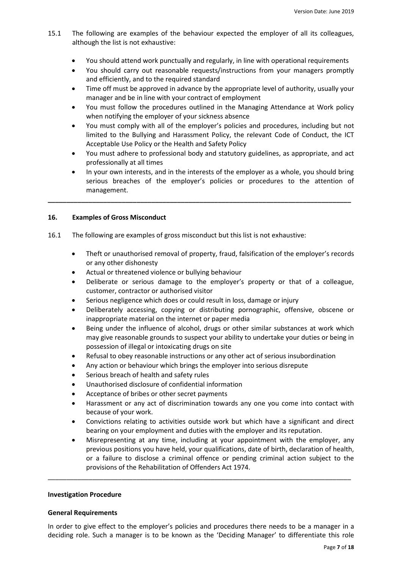- 15.1 The following are examples of the behaviour expected the employer of all its colleagues, although the list is not exhaustive:
	- You should attend work punctually and regularly, in line with operational requirements
	- You should carry out reasonable requests/instructions from your managers promptly and efficiently, and to the required standard
	- Time off must be approved in advance by the appropriate level of authority, usually your manager and be in line with your contract of employment
	- You must follow the procedures outlined in the Managing Attendance at Work policy when notifying the employer of your sickness absence
	- You must comply with all of the employer's policies and procedures, including but not limited to the Bullying and Harassment Policy, the relevant Code of Conduct, the ICT Acceptable Use Policy or the Health and Safety Policy
	- You must adhere to professional body and statutory guidelines, as appropriate, and act professionally at all times
	- In your own interests, and in the interests of the employer as a whole, you should bring serious breaches of the employer's policies or procedures to the attention of management.

**\_\_\_\_\_\_\_\_\_\_\_\_\_\_\_\_\_\_\_\_\_\_\_\_\_\_\_\_\_\_\_\_\_\_\_\_\_\_\_\_\_\_\_\_\_\_\_\_\_\_\_\_\_\_\_\_\_\_\_\_\_\_\_\_\_\_\_\_\_\_\_\_\_\_\_\_\_\_\_\_\_\_**

# **16. Examples of Gross Misconduct**

- 16.1 The following are examples of gross misconduct but this list is not exhaustive:
	- Theft or unauthorised removal of property, fraud, falsification of the employer's records or any other dishonesty
	- Actual or threatened violence or bullying behaviour
	- Deliberate or serious damage to the employer's property or that of a colleague, customer, contractor or authorised visitor
	- Serious negligence which does or could result in loss, damage or injury
	- Deliberately accessing, copying or distributing pornographic, offensive, obscene or inappropriate material on the internet or paper media
	- Being under the influence of alcohol, drugs or other similar substances at work which may give reasonable grounds to suspect your ability to undertake your duties or being in possession of illegal or intoxicating drugs on site
	- Refusal to obey reasonable instructions or any other act of serious insubordination
	- Any action or behaviour which brings the employer into serious disrepute
	- Serious breach of health and safety rules
	- Unauthorised disclosure of confidential information
	- Acceptance of bribes or other secret payments
	- Harassment or any act of discrimination towards any one you come into contact with because of your work.
	- Convictions relating to activities outside work but which have a significant and direct bearing on your employment and duties with the employer and its reputation.
	- Misrepresenting at any time, including at your appointment with the employer, any previous positions you have held, your qualifications, date of birth, declaration of health, or a failure to disclose a criminal offence or pending criminal action subject to the provisions of the Rehabilitation of Offenders Act 1974.

#### **Investigation Procedure**

## **General Requirements**

In order to give effect to the employer's policies and procedures there needs to be a manager in a deciding role. Such a manager is to be known as the 'Deciding Manager' to differentiate this role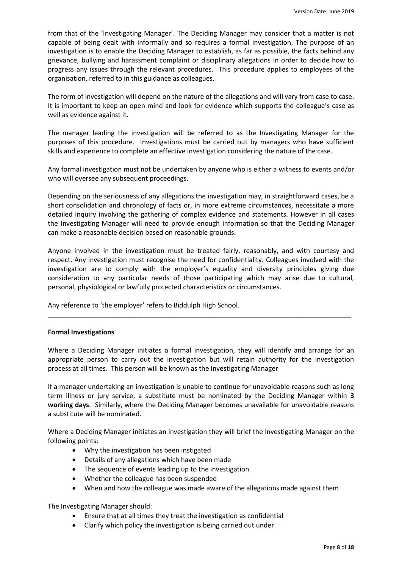from that of the 'Investigating Manager'. The Deciding Manager may consider that a matter is not capable of being dealt with informally and so requires a formal investigation. The purpose of an investigation is to enable the Deciding Manager to establish, as far as possible, the facts behind any grievance, bullying and harassment complaint or disciplinary allegations in order to decide how to progress any issues through the relevant procedures. This procedure applies to employees of the organisation, referred to in this guidance as colleagues.

The form of investigation will depend on the nature of the allegations and will vary from case to case. It is important to keep an open mind and look for evidence which supports the colleague's case as well as evidence against it.

The manager leading the investigation will be referred to as the Investigating Manager for the purposes of this procedure. Investigations must be carried out by managers who have sufficient skills and experience to complete an effective investigation considering the nature of the case.

Any formal investigation must not be undertaken by anyone who is either a witness to events and/or who will oversee any subsequent proceedings.

Depending on the seriousness of any allegations the investigation may, in straightforward cases, be a short consolidation and chronology of facts or, in more extreme circumstances, necessitate a more detailed inquiry involving the gathering of complex evidence and statements. However in all cases the Investigating Manager will need to provide enough information so that the Deciding Manager can make a reasonable decision based on reasonable grounds.

Anyone involved in the investigation must be treated fairly, reasonably, and with courtesy and respect. Any investigation must recognise the need for confidentiality. Colleagues involved with the investigation are to comply with the employer's equality and diversity principles giving due consideration to any particular needs of those participating which may arise due to cultural, personal, physiological or lawfully protected characteristics or circumstances.

Any reference to 'the employer' refers to Biddulph High School.

## **Formal Investigations**

Where a Deciding Manager initiates a formal investigation, they will identify and arrange for an appropriate person to carry out the investigation but will retain authority for the investigation process at all times. This person will be known as the Investigating Manager

\_\_\_\_\_\_\_\_\_\_\_\_\_\_\_\_\_\_\_\_\_\_\_\_\_\_\_\_\_\_\_\_\_\_\_\_\_\_\_\_\_\_\_\_\_\_\_\_\_\_\_\_\_\_\_\_\_\_\_\_\_\_\_\_\_\_\_\_\_\_\_\_\_\_\_\_\_\_\_\_\_\_

If a manager undertaking an investigation is unable to continue for unavoidable reasons such as long term illness or jury service, a substitute must be nominated by the Deciding Manager within **3 working days**. Similarly, where the Deciding Manager becomes unavailable for unavoidable reasons a substitute will be nominated.

Where a Deciding Manager initiates an investigation they will brief the Investigating Manager on the following points:

- Why the investigation has been instigated
- Details of any allegations which have been made
- The sequence of events leading up to the investigation
- Whether the colleague has been suspended
- When and how the colleague was made aware of the allegations made against them

The Investigating Manager should:

- Ensure that at all times they treat the investigation as confidential
- Clarify which policy the investigation is being carried out under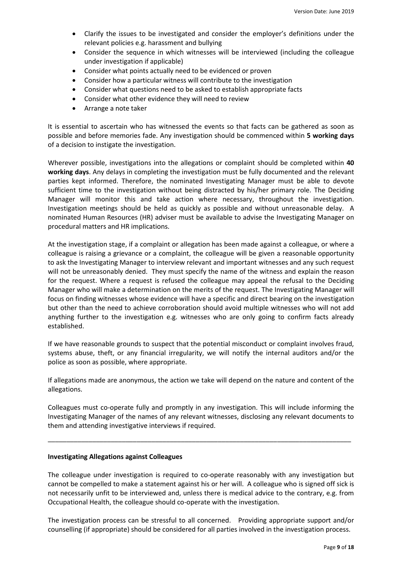- Clarify the issues to be investigated and consider the employer's definitions under the relevant policies e.g. harassment and bullying
- Consider the sequence in which witnesses will be interviewed (including the colleague under investigation if applicable)
- Consider what points actually need to be evidenced or proven
- Consider how a particular witness will contribute to the investigation
- Consider what questions need to be asked to establish appropriate facts
- Consider what other evidence they will need to review
- Arrange a note taker

It is essential to ascertain who has witnessed the events so that facts can be gathered as soon as possible and before memories fade. Any investigation should be commenced within **5 working days** of a decision to instigate the investigation.

Wherever possible, investigations into the allegations or complaint should be completed within **40 working days**. Any delays in completing the investigation must be fully documented and the relevant parties kept informed. Therefore, the nominated Investigating Manager must be able to devote sufficient time to the investigation without being distracted by his/her primary role. The Deciding Manager will monitor this and take action where necessary, throughout the investigation. Investigation meetings should be held as quickly as possible and without unreasonable delay. A nominated Human Resources (HR) adviser must be available to advise the Investigating Manager on procedural matters and HR implications.

At the investigation stage, if a complaint or allegation has been made against a colleague, or where a colleague is raising a grievance or a complaint, the colleague will be given a reasonable opportunity to ask the Investigating Manager to interview relevant and important witnesses and any such request will not be unreasonably denied. They must specify the name of the witness and explain the reason for the request. Where a request is refused the colleague may appeal the refusal to the Deciding Manager who will make a determination on the merits of the request. The Investigating Manager will focus on finding witnesses whose evidence will have a specific and direct bearing on the investigation but other than the need to achieve corroboration should avoid multiple witnesses who will not add anything further to the investigation e.g. witnesses who are only going to confirm facts already established.

If we have reasonable grounds to suspect that the potential misconduct or complaint involves fraud, systems abuse, theft, or any financial irregularity, we will notify the internal auditors and/or the police as soon as possible, where appropriate.

If allegations made are anonymous, the action we take will depend on the nature and content of the allegations.

Colleagues must co-operate fully and promptly in any investigation. This will include informing the Investigating Manager of the names of any relevant witnesses, disclosing any relevant documents to them and attending investigative interviews if required.

\_\_\_\_\_\_\_\_\_\_\_\_\_\_\_\_\_\_\_\_\_\_\_\_\_\_\_\_\_\_\_\_\_\_\_\_\_\_\_\_\_\_\_\_\_\_\_\_\_\_\_\_\_\_\_\_\_\_\_\_\_\_\_\_\_\_\_\_\_\_\_\_\_\_\_\_\_\_\_\_\_\_

## **Investigating Allegations against Colleagues**

The colleague under investigation is required to co-operate reasonably with any investigation but cannot be compelled to make a statement against his or her will. A colleague who is signed off sick is not necessarily unfit to be interviewed and, unless there is medical advice to the contrary, e.g. from Occupational Health, the colleague should co-operate with the investigation.

The investigation process can be stressful to all concerned. Providing appropriate support and/or counselling (if appropriate) should be considered for all parties involved in the investigation process.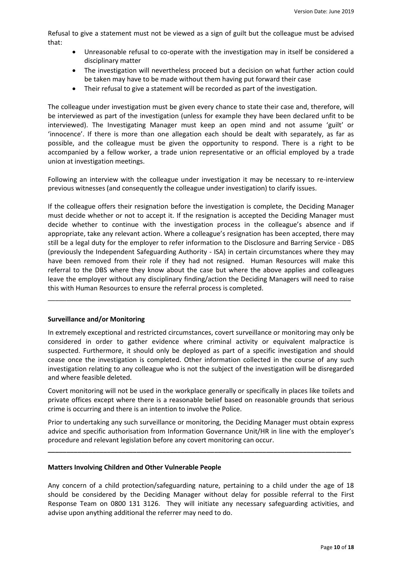Refusal to give a statement must not be viewed as a sign of guilt but the colleague must be advised that:

- Unreasonable refusal to co-operate with the investigation may in itself be considered a disciplinary matter
- The investigation will nevertheless proceed but a decision on what further action could be taken may have to be made without them having put forward their case
- Their refusal to give a statement will be recorded as part of the investigation.

The colleague under investigation must be given every chance to state their case and, therefore, will be interviewed as part of the investigation (unless for example they have been declared unfit to be interviewed). The Investigating Manager must keep an open mind and not assume 'guilt' or 'innocence'. If there is more than one allegation each should be dealt with separately, as far as possible, and the colleague must be given the opportunity to respond. There is a right to be accompanied by a fellow worker, a trade union representative or an official employed by a trade union at investigation meetings.

Following an interview with the colleague under investigation it may be necessary to re-interview previous witnesses (and consequently the colleague under investigation) to clarify issues.

If the colleague offers their resignation before the investigation is complete, the Deciding Manager must decide whether or not to accept it. If the resignation is accepted the Deciding Manager must decide whether to continue with the investigation process in the colleague's absence and if appropriate, take any relevant action. Where a colleague's resignation has been accepted, there may still be a legal duty for the employer to refer information to the Disclosure and Barring Service - DBS (previously the Independent Safeguarding Authority - ISA) in certain circumstances where they may have been removed from their role if they had not resigned. Human Resources will make this referral to the DBS where they know about the case but where the above applies and colleagues leave the employer without any disciplinary finding/action the Deciding Managers will need to raise this with Human Resources to ensure the referral process is completed.

\_\_\_\_\_\_\_\_\_\_\_\_\_\_\_\_\_\_\_\_\_\_\_\_\_\_\_\_\_\_\_\_\_\_\_\_\_\_\_\_\_\_\_\_\_\_\_\_\_\_\_\_\_\_\_\_\_\_\_\_\_\_\_\_\_\_\_\_\_\_\_\_\_\_\_\_\_\_\_\_\_\_

## **Surveillance and/or Monitoring**

In extremely exceptional and restricted circumstances, covert surveillance or monitoring may only be considered in order to gather evidence where criminal activity or equivalent malpractice is suspected. Furthermore, it should only be deployed as part of a specific investigation and should cease once the investigation is completed. Other information collected in the course of any such investigation relating to any colleague who is not the subject of the investigation will be disregarded and where feasible deleted.

Covert monitoring will not be used in the workplace generally or specifically in places like toilets and private offices except where there is a reasonable belief based on reasonable grounds that serious crime is occurring and there is an intention to involve the Police.

Prior to undertaking any such surveillance or monitoring, the Deciding Manager must obtain express advice and specific authorisation from Information Governance Unit/HR in line with the employer's procedure and relevant legislation before any covert monitoring can occur.

**\_\_\_\_\_\_\_\_\_\_\_\_\_\_\_\_\_\_\_\_\_\_\_\_\_\_\_\_\_\_\_\_\_\_\_\_\_\_\_\_\_\_\_\_\_\_\_\_\_\_\_\_\_\_\_\_\_\_\_\_\_\_\_\_\_\_\_\_\_\_\_\_\_\_\_\_\_\_\_\_\_\_**

#### **Matters Involving Children and Other Vulnerable People**

Any concern of a child protection/safeguarding nature, pertaining to a child under the age of 18 should be considered by the Deciding Manager without delay for possible referral to the First Response Team on 0800 131 3126. They will initiate any necessary safeguarding activities, and advise upon anything additional the referrer may need to do.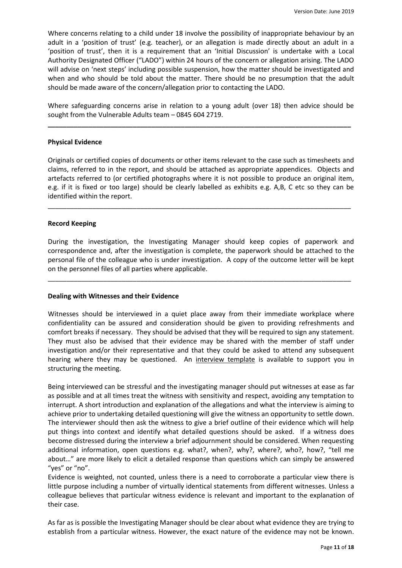Where concerns relating to a child under 18 involve the possibility of inappropriate behaviour by an adult in a 'position of trust' (e.g. teacher), or an allegation is made directly about an adult in a 'position of trust', then it is a requirement that an 'Initial Discussion' is undertake with a Local Authority Designated Officer ("LADO") within 24 hours of the concern or allegation arising. The LADO will advise on 'next steps' including possible suspension, how the matter should be investigated and when and who should be told about the matter. There should be no presumption that the adult should be made aware of the concern/allegation prior to contacting the LADO.

Where safeguarding concerns arise in relation to a young adult (over 18) then advice should be sought from the Vulnerable Adults team – 0845 604 2719.

**\_\_\_\_\_\_\_\_\_\_\_\_\_\_\_\_\_\_\_\_\_\_\_\_\_\_\_\_\_\_\_\_\_\_\_\_\_\_\_\_\_\_\_\_\_\_\_\_\_\_\_\_\_\_\_\_\_\_\_\_\_\_\_\_\_\_\_\_\_\_\_\_\_\_\_\_\_\_\_\_\_\_**

## **Physical Evidence**

Originals or certified copies of documents or other items relevant to the case such as timesheets and claims, referred to in the report, and should be attached as appropriate appendices. Objects and artefacts referred to (or certified photographs where it is not possible to produce an original item, e.g. if it is fixed or too large) should be clearly labelled as exhibits e.g. A,B, C etc so they can be identified within the report.

\_\_\_\_\_\_\_\_\_\_\_\_\_\_\_\_\_\_\_\_\_\_\_\_\_\_\_\_\_\_\_\_\_\_\_\_\_\_\_\_\_\_\_\_\_\_\_\_\_\_\_\_\_\_\_\_\_\_\_\_\_\_\_\_\_\_\_\_\_\_\_\_\_\_\_\_\_\_\_\_\_\_

## **Record Keeping**

During the investigation, the Investigating Manager should keep copies of paperwork and correspondence and, after the investigation is complete, the paperwork should be attached to the personal file of the colleague who is under investigation. A copy of the outcome letter will be kept on the personnel files of all parties where applicable.

\_\_\_\_\_\_\_\_\_\_\_\_\_\_\_\_\_\_\_\_\_\_\_\_\_\_\_\_\_\_\_\_\_\_\_\_\_\_\_\_\_\_\_\_\_\_\_\_\_\_\_\_\_\_\_\_\_\_\_\_\_\_\_\_\_\_\_\_\_\_\_\_\_\_\_\_\_\_\_\_\_\_

## **Dealing with Witnesses and their Evidence**

Witnesses should be interviewed in a quiet place away from their immediate workplace where confidentiality can be assured and consideration should be given to providing refreshments and comfort breaks if necessary. They should be advised that they will be required to sign any statement. They must also be advised that their evidence may be shared with the member of staff under investigation and/or their representative and that they could be asked to attend any subsequent hearing where they may be questioned. An [interview template](#page-12-0) is available to support you in structuring the meeting.

Being interviewed can be stressful and the investigating manager should put witnesses at ease as far as possible and at all times treat the witness with sensitivity and respect, avoiding any temptation to interrupt. A short introduction and explanation of the allegations and what the interview is aiming to achieve prior to undertaking detailed questioning will give the witness an opportunity to settle down. The interviewer should then ask the witness to give a brief outline of their evidence which will help put things into context and identify what detailed questions should be asked. If a witness does become distressed during the interview a brief adjournment should be considered. When requesting additional information, open questions e.g. what?, when?, why?, where?, who?, how?, "tell me about…" are more likely to elicit a detailed response than questions which can simply be answered "yes" or "no".

Evidence is weighted, not counted, unless there is a need to corroborate a particular view there is little purpose including a number of virtually identical statements from different witnesses. Unless a colleague believes that particular witness evidence is relevant and important to the explanation of their case.

As far as is possible the Investigating Manager should be clear about what evidence they are trying to establish from a particular witness. However, the exact nature of the evidence may not be known.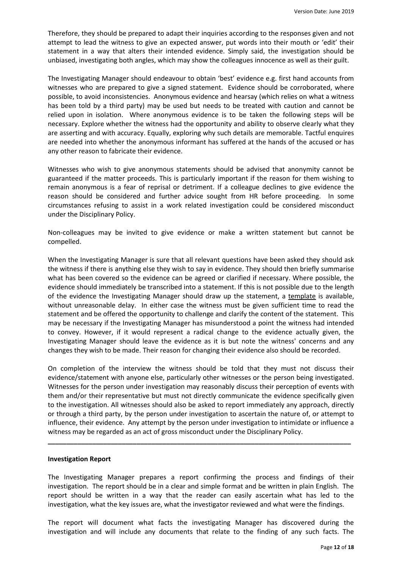Therefore, they should be prepared to adapt their inquiries according to the responses given and not attempt to lead the witness to give an expected answer, put words into their mouth or 'edit' their statement in a way that alters their intended evidence. Simply said, the investigation should be unbiased, investigating both angles, which may show the colleagues innocence as well as their guilt.

The Investigating Manager should endeavour to obtain 'best' evidence e.g. first hand accounts from witnesses who are prepared to give a signed statement. Evidence should be corroborated, where possible, to avoid inconsistencies. Anonymous evidence and hearsay (which relies on what a witness has been told by a third party) may be used but needs to be treated with caution and cannot be relied upon in isolation. Where anonymous evidence is to be taken the following steps will be necessary. Explore whether the witness had the opportunity and ability to observe clearly what they are asserting and with accuracy. Equally, exploring why such details are memorable. Tactful enquires are needed into whether the anonymous informant has suffered at the hands of the accused or has any other reason to fabricate their evidence.

Witnesses who wish to give anonymous statements should be advised that anonymity cannot be guaranteed if the matter proceeds. This is particularly important if the reason for them wishing to remain anonymous is a fear of reprisal or detriment. If a colleague declines to give evidence the reason should be considered and further advice sought from HR before proceeding. In some circumstances refusing to assist in a work related investigation could be considered misconduct under the Disciplinary Policy.

Non-colleagues may be invited to give evidence or make a written statement but cannot be compelled.

When the Investigating Manager is sure that all relevant questions have been asked they should ask the witness if there is anything else they wish to say in evidence. They should then briefly summarise what has been covered so the evidence can be agreed or clarified if necessary. Where possible, the evidence should immediately be transcribed into a statement. If this is not possible due to the length of the evidence the Investigating Manager should draw up the statement, a [template](#page-14-0) is available, without unreasonable delay. In either case the witness must be given sufficient time to read the statement and be offered the opportunity to challenge and clarify the content of the statement. This may be necessary if the Investigating Manager has misunderstood a point the witness had intended to convey. However, if it would represent a radical change to the evidence actually given, the Investigating Manager should leave the evidence as it is but note the witness' concerns and any changes they wish to be made. Their reason for changing their evidence also should be recorded.

On completion of the interview the witness should be told that they must not discuss their evidence/statement with anyone else, particularly other witnesses or the person being investigated. Witnesses for the person under investigation may reasonably discuss their perception of events with them and/or their representative but must not directly communicate the evidence specifically given to the investigation. All witnesses should also be asked to report immediately any approach, directly or through a third party, by the person under investigation to ascertain the nature of, or attempt to influence, their evidence. Any attempt by the person under investigation to intimidate or influence a witness may be regarded as an act of gross misconduct under the Disciplinary Policy.

**\_\_\_\_\_\_\_\_\_\_\_\_\_\_\_\_\_\_\_\_\_\_\_\_\_\_\_\_\_\_\_\_\_\_\_\_\_\_\_\_\_\_\_\_\_\_\_\_\_\_\_\_\_\_\_\_\_\_\_\_\_\_\_\_\_\_\_\_\_\_\_\_\_\_\_\_\_\_\_\_\_\_**

## **Investigation Report**

The Investigating Manager prepares a report confirming the process and findings of their investigation. The report should be in a clear and simple format and be written in plain English. The report should be written in a way that the reader can easily ascertain what has led to the investigation, what the key issues are, what the investigator reviewed and what were the findings.

The report will document what facts the investigating Manager has discovered during the investigation and will include any documents that relate to the finding of any such facts. The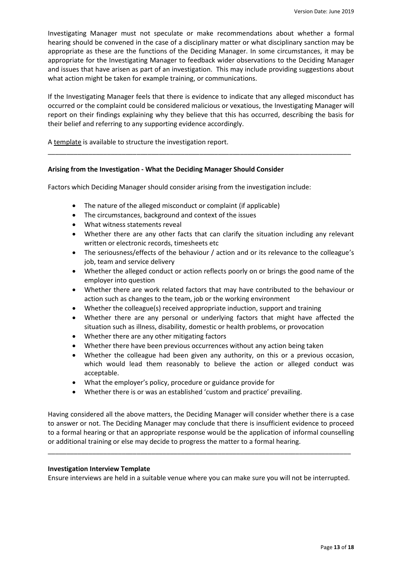Investigating Manager must not speculate or make recommendations about whether a formal hearing should be convened in the case of a disciplinary matter or what disciplinary sanction may be appropriate as these are the functions of the Deciding Manager. In some circumstances, it may be appropriate for the Investigating Manager to feedback wider observations to the Deciding Manager and issues that have arisen as part of an investigation. This may include providing suggestions about what action might be taken for example training, or communications.

If the Investigating Manager feels that there is evidence to indicate that any alleged misconduct has occurred or the complaint could be considered malicious or vexatious, the Investigating Manager will report on their findings explaining why they believe that this has occurred, describing the basis for their belief and referring to any supporting evidence accordingly.

\_\_\_\_\_\_\_\_\_\_\_\_\_\_\_\_\_\_\_\_\_\_\_\_\_\_\_\_\_\_\_\_\_\_\_\_\_\_\_\_\_\_\_\_\_\_\_\_\_\_\_\_\_\_\_\_\_\_\_\_\_\_\_\_\_\_\_\_\_\_\_\_\_\_\_\_\_\_\_\_\_\_

A [template](#page-14-1) is available to structure the investigation report.

## **Arising from the Investigation - What the Deciding Manager Should Consider**

Factors which Deciding Manager should consider arising from the investigation include:

- The nature of the alleged misconduct or complaint (if applicable)
- The circumstances, background and context of the issues
- What witness statements reveal
- Whether there are any other facts that can clarify the situation including any relevant written or electronic records, timesheets etc
- The seriousness/effects of the behaviour / action and or its relevance to the colleague's job, team and service delivery
- Whether the alleged conduct or action reflects poorly on or brings the good name of the employer into question
- Whether there are work related factors that may have contributed to the behaviour or action such as changes to the team, job or the working environment
- Whether the colleague(s) received appropriate induction, support and training
- Whether there are any personal or underlying factors that might have affected the situation such as illness, disability, domestic or health problems, or provocation
- Whether there are any other mitigating factors
- Whether there have been previous occurrences without any action being taken
- Whether the colleague had been given any authority, on this or a previous occasion, which would lead them reasonably to believe the action or alleged conduct was acceptable.
- What the employer's policy, procedure or guidance provide for
- Whether there is or was an established 'custom and practice' prevailing.

Having considered all the above matters, the Deciding Manager will consider whether there is a case to answer or not. The Deciding Manager may conclude that there is insufficient evidence to proceed to a formal hearing or that an appropriate response would be the application of informal counselling or additional training or else may decide to progress the matter to a formal hearing.

## <span id="page-12-0"></span>**Investigation Interview Template**

Ensure interviews are held in a suitable venue where you can make sure you will not be interrupted.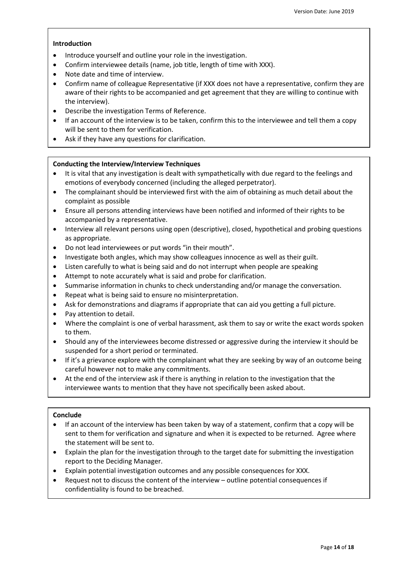## **Introduction**

- Introduce yourself and outline your role in the investigation.
- Confirm interviewee details (name, job title, length of time with XXX).
- Note date and time of interview.
- Confirm name of colleague Representative (if XXX does not have a representative, confirm they are aware of their rights to be accompanied and get agreement that they are willing to continue with the interview).
- Describe the investigation Terms of Reference.
- If an account of the interview is to be taken, confirm this to the interviewee and tell them a copy will be sent to them for verification.
- Ask if they have any questions for clarification.

## **Conducting the Interview/Interview Techniques**

- It is vital that any investigation is dealt with sympathetically with due regard to the feelings and emotions of everybody concerned (including the alleged perpetrator).
- The complainant should be interviewed first with the aim of obtaining as much detail about the complaint as possible
- Ensure all persons attending interviews have been notified and informed of their rights to be accompanied by a representative.
- Interview all relevant persons using open (descriptive), closed, hypothetical and probing questions as appropriate.
- Do not lead interviewees or put words "in their mouth".
- Investigate both angles, which may show colleagues innocence as well as their guilt.
- Listen carefully to what is being said and do not interrupt when people are speaking
- Attempt to note accurately what is said and probe for clarification.
- Summarise information in chunks to check understanding and/or manage the conversation.
- Repeat what is being said to ensure no misinterpretation.
- Ask for demonstrations and diagrams if appropriate that can aid you getting a full picture.
- Pay attention to detail.
- Where the complaint is one of verbal harassment, ask them to say or write the exact words spoken to them.
- Should any of the interviewees become distressed or aggressive during the interview it should be suspended for a short period or terminated.
- If it's a grievance explore with the complainant what they are seeking by way of an outcome being careful however not to make any commitments.
- At the end of the interview ask if there is anything in relation to the investigation that the interviewee wants to mention that they have not specifically been asked about.

## **Conclude**

- If an account of the interview has been taken by way of a statement, confirm that a copy will be sent to them for verification and signature and when it is expected to be returned. Agree where the statement will be sent to.
- Explain the plan for the investigation through to the target date for submitting the investigation report to the Deciding Manager.
- Explain potential investigation outcomes and any possible consequences for XXX.
- Request not to discuss the content of the interview outline potential consequences if confidentiality is found to be breached.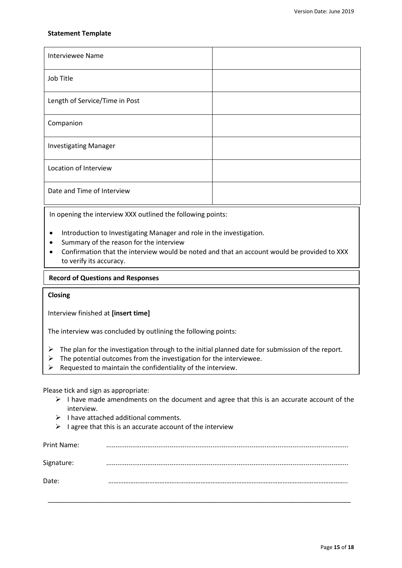## <span id="page-14-0"></span>**Statement Template**

| <b>Interviewee Name</b>        |  |
|--------------------------------|--|
| Job Title                      |  |
| Length of Service/Time in Post |  |
| Companion                      |  |
| <b>Investigating Manager</b>   |  |
| Location of Interview          |  |
| Date and Time of Interview     |  |

In opening the interview XXX outlined the following points:

- Introduction to Investigating Manager and role in the investigation.
- Summary of the reason for the interview
- Confirmation that the interview would be noted and that an account would be provided to XXX to verify its accuracy.

#### $X \sim \mathcal{X} \sim \mathcal{X}$  of clarifications for clarifications for clarifications for clarifications for clarification. **Record of Questions and Responses**

## **Closing**

Interview finished at **[insert time]**

The interview was concluded by outlining the following points:

- $\triangleright$  The plan for the investigation through to the initial planned date for submission of the report.
- $\triangleright$  The potential outcomes from the investigation for the interviewee.
- $\triangleright$  Requested to maintain the confidentiality of the interview.

Please tick and sign as appropriate:

- $\triangleright$  I have made amendments on the document and agree that this is an accurate account of the interview.
- $\triangleright$  I have attached additional comments.
- $\triangleright$  I agree that this is an accurate account of the interview

<span id="page-14-1"></span>

| Print Name: |   |
|-------------|---|
| Signature:  | . |
| Date:       |   |
|             |   |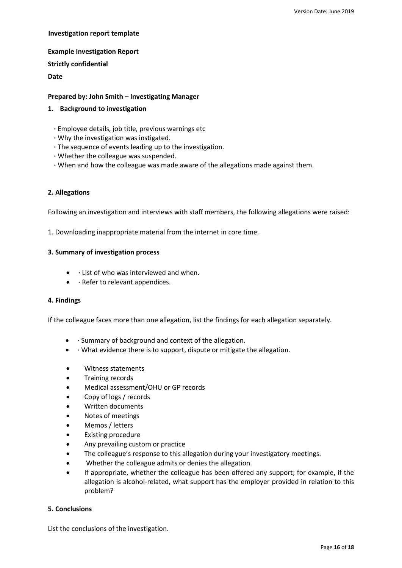## **Investigation report template**

**Example Investigation Report Strictly confidential**

**Date**

## **Prepared by: John Smith – Investigating Manager**

## **1. Background to investigation**

- **·** Employee details, job title, previous warnings etc
- **·** Why the investigation was instigated.
- **·** The sequence of events leading up to the investigation.
- **·** Whether the colleague was suspended.
- **·** When and how the colleague was made aware of the allegations made against them.

## **2. Allegations**

Following an investigation and interviews with staff members, the following allegations were raised:

1. Downloading inappropriate material from the internet in core time.

## **3. Summary of investigation process**

- **·** List of who was interviewed and when.
- **• · Refer to relevant appendices.**

## **4. Findings**

If the colleague faces more than one allegation, list the findings for each allegation separately.

- · Summary of background and context of the allegation.
- $\bullet$  · What evidence there is to support, dispute or mitigate the allegation.
- Witness statements
- Training records
- Medical assessment/OHU or GP records
- Copy of logs / records
- Written documents
- Notes of meetings
- Memos / letters
- Existing procedure
- Any prevailing custom or practice
- The colleague's response to this allegation during your investigatory meetings.
- Whether the colleague admits or denies the allegation.
- If appropriate, whether the colleague has been offered any support; for example, if the allegation is alcohol-related, what support has the employer provided in relation to this problem?

## **5. Conclusions**

List the conclusions of the investigation.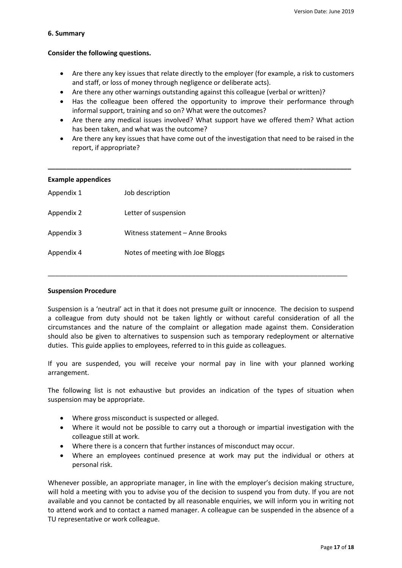## **6. Summary**

# **Consider the following questions.**

- Are there any key issues that relate directly to the employer (for example, a risk to customers and staff, or loss of money through negligence or deliberate acts).
- Are there any other warnings outstanding against this colleague (verbal or written)?
- Has the colleague been offered the opportunity to improve their performance through informal support, training and so on? What were the outcomes?
- Are there any medical issues involved? What support have we offered them? What action has been taken, and what was the outcome?
- Are there any key issues that have come out of the investigation that need to be raised in the report, if appropriate?

| Job description                  |
|----------------------------------|
| Letter of suspension             |
| Witness statement - Anne Brooks  |
| Notes of meeting with Joe Bloggs |
|                                  |

\_\_\_\_\_\_\_\_\_\_\_\_\_\_\_\_\_\_\_\_\_\_\_\_\_\_\_\_\_\_\_\_\_\_\_\_\_\_\_\_\_\_\_\_\_\_\_\_\_\_\_\_\_\_\_\_\_\_\_\_\_\_\_\_\_\_\_\_\_\_\_\_\_\_\_\_\_\_\_\_\_

# **Suspension Procedure**

Suspension is a 'neutral' act in that it does not presume guilt or innocence. The decision to suspend a colleague from duty should not be taken lightly or without careful consideration of all the circumstances and the nature of the complaint or allegation made against them. Consideration should also be given to alternatives to suspension such as temporary redeployment or alternative duties. This guide applies to employees, referred to in this guide as colleagues.

If you are suspended, you will receive your normal pay in line with your planned working arrangement.

The following list is not exhaustive but provides an indication of the types of situation when suspension may be appropriate.

- Where gross misconduct is suspected or alleged.
- Where it would not be possible to carry out a thorough or impartial investigation with the colleague still at work.
- Where there is a concern that further instances of misconduct may occur.
- Where an employees continued presence at work may put the individual or others at personal risk.

Whenever possible, an appropriate manager, in line with the employer's decision making structure, will hold a meeting with you to advise you of the decision to suspend you from duty. If you are not available and you cannot be contacted by all reasonable enquiries, we will inform you in writing not to attend work and to contact a named manager. A colleague can be suspended in the absence of a TU representative or work colleague.